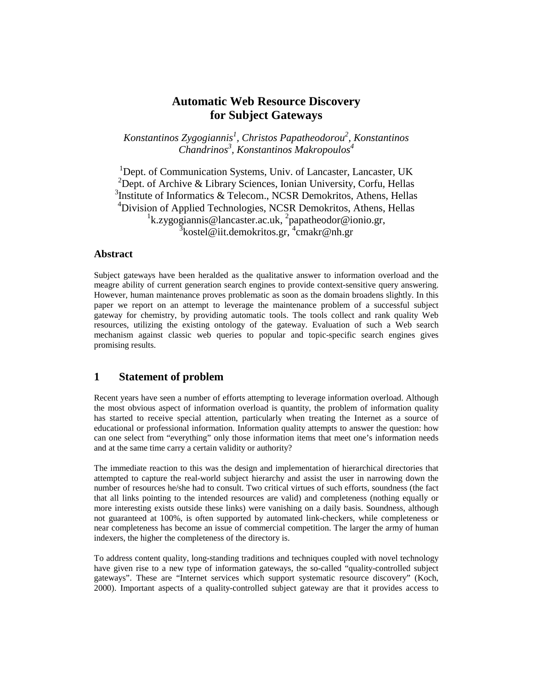# **Automatic Web Resource Discovery for Subject Gateways**

*Konstantinos Zygogiannis<sup>1</sup> , Christos Papatheodorou<sup>2</sup> , Konstantinos Chandrinos<sup>3</sup> , Konstantinos Makropoulos<sup>4</sup>*

<sup>1</sup>Dept. of Communication Systems, Univ. of Lancaster, Lancaster, UK <sup>2</sup>Dept. of Archive & Library Sciences, Ionian University, Corfu, Hellas <sup>3</sup>Institute of Informatics & Telecom., NCSR Demokritos, Athens, Hellas <sup>4</sup>Division of Applied Technologies, NCSR Demokritos, Athens, Hellas <sup>1</sup>k.zygogiannis@lancaster.ac.uk, <sup>2</sup>papatheodor@ionio.gr, <sup>3</sup>kostel@iit.demokritos.gr, <sup>4</sup>cmakr@nh.gr

#### **Abstract**

Subject gateways have been heralded as the qualitative answer to information overload and the meagre ability of current generation search engines to provide context-sensitive query answering. However, human maintenance proves problematic as soon as the domain broadens slightly. In this paper we report on an attempt to leverage the maintenance problem of a successful subject gateway for chemistry, by providing automatic tools. The tools collect and rank quality Web resources, utilizing the existing ontology of the gateway. Evaluation of such a Web search mechanism against classic web queries to popular and topic-specific search engines gives promising results.

### **1 Statement of problem**

Recent years have seen a number of efforts attempting to leverage information overload. Although the most obvious aspect of information overload is quantity, the problem of information quality has started to receive special attention, particularly when treating the Internet as a source of educational or professional information. Information quality attempts to answer the question: how can one select from "everything" only those information items that meet one's information needs and at the same time carry a certain validity or authority?

The immediate reaction to this was the design and implementation of hierarchical directories that attempted to capture the real-world subject hierarchy and assist the user in narrowing down the number of resources he/she had to consult. Two critical virtues of such efforts, soundness (the fact that all links pointing to the intended resources are valid) and completeness (nothing equally or more interesting exists outside these links) were vanishing on a daily basis. Soundness, although not guaranteed at 100%, is often supported by automated link-checkers, while completeness or near completeness has become an issue of commercial competition. The larger the army of human indexers, the higher the completeness of the directory is.

To address content quality, long-standing traditions and techniques coupled with novel technology have given rise to a new type of information gateways, the so-called "quality-controlled subject gateways". These are "Internet services which support systematic resource discovery" (Koch, 2000). Important aspects of a quality-controlled subject gateway are that it provides access to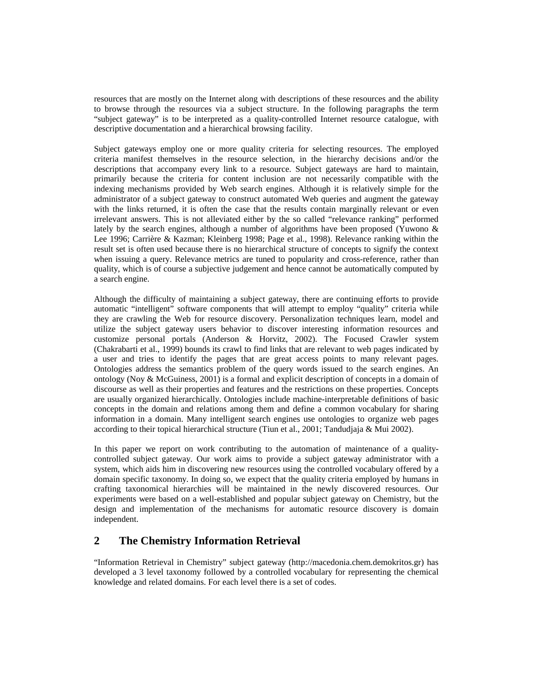resources that are mostly on the Internet along with descriptions of these resources and the ability to browse through the resources via a subject structure. In the following paragraphs the term "subject gateway" is to be interpreted as a quality-controlled Internet resource catalogue, with descriptive documentation and a hierarchical browsing facility.

Subject gateways employ one or more quality criteria for selecting resources. The employed criteria manifest themselves in the resource selection, in the hierarchy decisions and/or the descriptions that accompany every link to a resource. Subject gateways are hard to maintain, primarily because the criteria for content inclusion are not necessarily compatible with the indexing mechanisms provided by Web search engines. Although it is relatively simple for the administrator of a subject gateway to construct automated Web queries and augment the gateway with the links returned, it is often the case that the results contain marginally relevant or even irrelevant answers. This is not alleviated either by the so called "relevance ranking" performed lately by the search engines, although a number of algorithms have been proposed (Yuwono & Lee 1996; Carrière & Kazman; Kleinberg 1998; Page et al., 1998). Relevance ranking within the result set is often used because there is no hierarchical structure of concepts to signify the context when issuing a query. Relevance metrics are tuned to popularity and cross-reference, rather than quality, which is of course a subjective judgement and hence cannot be automatically computed by a search engine.

Although the difficulty of maintaining a subject gateway, there are continuing efforts to provide automatic "intelligent" software components that will attempt to employ "quality" criteria while they are crawling the Web for resource discovery. Personalization techniques learn, model and utilize the subject gateway users behavior to discover interesting information resources and customize personal portals (Anderson & Horvitz, 2002). The Focused Crawler system (Chakrabarti et al., 1999) bounds its crawl to find links that are relevant to web pages indicated by a user and tries to identify the pages that are great access points to many relevant pages. Ontologies address the semantics problem of the query words issued to the search engines. An ontology (Noy & McGuiness, 2001) is a formal and explicit description of concepts in a domain of discourse as well as their properties and features and the restrictions on these properties. Concepts are usually organized hierarchically. Ontologies include machine-interpretable definitions of basic concepts in the domain and relations among them and define a common vocabulary for sharing information in a domain. Many intelligent search engines use ontologies to organize web pages according to their topical hierarchical structure (Tiun et al., 2001; Tandudjaja & Mui 2002).

In this paper we report on work contributing to the automation of maintenance of a qualitycontrolled subject gateway. Our work aims to provide a subject gateway administrator with a system, which aids him in discovering new resources using the controlled vocabulary offered by a domain specific taxonomy. In doing so, we expect that the quality criteria employed by humans in crafting taxonomical hierarchies will be maintained in the newly discovered resources. Our experiments were based on a well-established and popular subject gateway on Chemistry, but the design and implementation of the mechanisms for automatic resource discovery is domain independent.

# **2 The Chemistry Information Retrieval**

"Information Retrieval in Chemistry" subject gateway (http://macedonia.chem.demokritos.gr) has developed a 3 level taxonomy followed by a controlled vocabulary for representing the chemical knowledge and related domains. For each level there is a set of codes.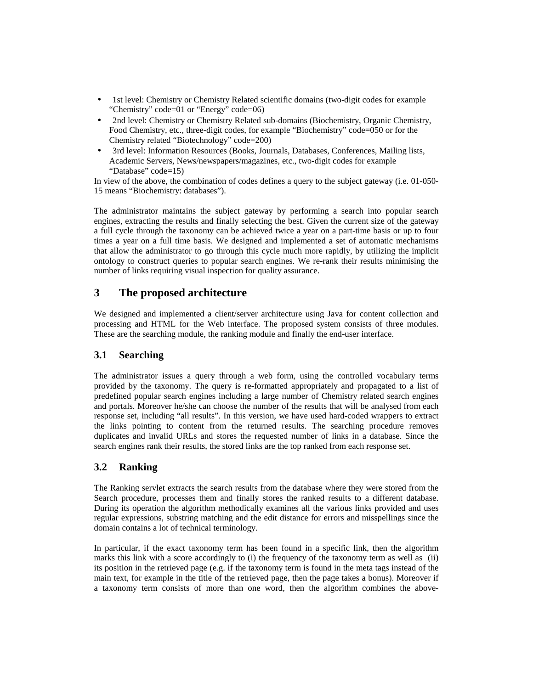- 1st level: Chemistry or Chemistry Related scientific domains (two-digit codes for example "Chemistry" code=01 or "Energy" code=06)
- 2nd level: Chemistry or Chemistry Related sub-domains (Biochemistry, Organic Chemistry, Food Chemistry, etc., three-digit codes, for example "Biochemistry" code=050 or for the Chemistry related "Biotechnology" code=200)
- 3rd level: Information Resources (Books, Journals, Databases, Conferences, Mailing lists, Academic Servers, News/newspapers/magazines, etc., two-digit codes for example "Database" code=15)

In view of the above, the combination of codes defines a query to the subject gateway (i.e. 01-050- 15 means "Biochemistry: databases").

The administrator maintains the subject gateway by performing a search into popular search engines, extracting the results and finally selecting the best. Given the current size of the gateway a full cycle through the taxonomy can be achieved twice a year on a part-time basis or up to four times a year on a full time basis. We designed and implemented a set of automatic mechanisms that allow the administrator to go through this cycle much more rapidly, by utilizing the implicit ontology to construct queries to popular search engines. We re-rank their results minimising the number of links requiring visual inspection for quality assurance.

## **3 The proposed architecture**

We designed and implemented a client/server architecture using Java for content collection and processing and HTML for the Web interface. The proposed system consists of three modules. These are the searching module, the ranking module and finally the end-user interface.

### **3.1 Searching**

The administrator issues a query through a web form, using the controlled vocabulary terms provided by the taxonomy. The query is re-formatted appropriately and propagated to a list of predefined popular search engines including a large number of Chemistry related search engines and portals. Moreover he/she can choose the number of the results that will be analysed from each response set, including "all results". In this version, we have used hard-coded wrappers to extract the links pointing to content from the returned results. The searching procedure removes duplicates and invalid URLs and stores the requested number of links in a database. Since the search engines rank their results, the stored links are the top ranked from each response set.

## **3.2 Ranking**

The Ranking servlet extracts the search results from the database where they were stored from the Search procedure, processes them and finally stores the ranked results to a different database. During its operation the algorithm methodically examines all the various links provided and uses regular expressions, substring matching and the edit distance for errors and misspellings since the domain contains a lot of technical terminology.

In particular, if the exact taxonomy term has been found in a specific link, then the algorithm marks this link with a score accordingly to (i) the frequency of the taxonomy term as well as (ii) its position in the retrieved page (e.g. if the taxonomy term is found in the meta tags instead of the main text, for example in the title of the retrieved page, then the page takes a bonus). Moreover if a taxonomy term consists of more than one word, then the algorithm combines the above-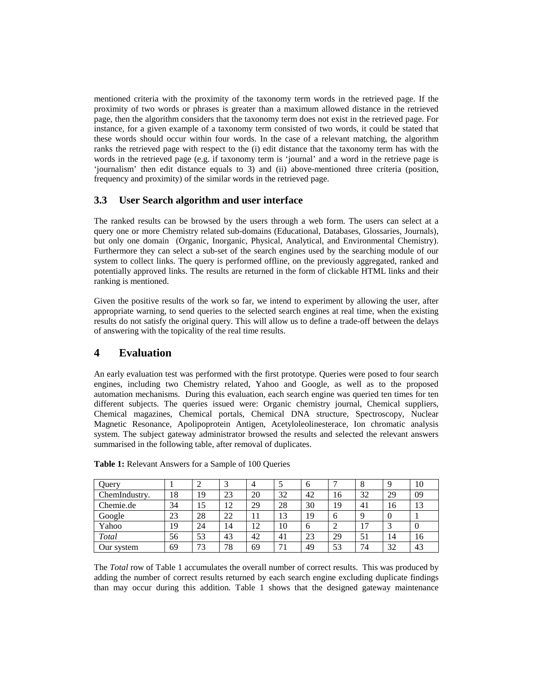mentioned criteria with the proximity of the taxonomy term words in the retrieved page. If the proximity of two words or phrases is greater than a maximum allowed distance in the retrieved page, then the algorithm considers that the taxonomy term does not exist in the retrieved page. For instance, for a given example of a taxonomy term consisted of two words, it could be stated that these words should occur within four words. In the case of a relevant matching, the algorithm ranks the retrieved page with respect to the (i) edit distance that the taxonomy term has with the words in the retrieved page (e.g. if taxonomy term is 'journal' and a word in the retrieve page is 'journalism' then edit distance equals to 3) and (ii) above-mentioned three criteria (position, frequency and proximity) of the similar words in the retrieved page.

### **3.3 User Search algorithm and user interface**

The ranked results can be browsed by the users through a web form. The users can select at a query one or more Chemistry related sub-domains (Educational, Databases, Glossaries, Journals), but only one domain (Organic, Inorganic, Physical, Analytical, and Environmental Chemistry). Furthermore they can select a sub-set of the search engines used by the searching module of our system to collect links. The query is performed offline, on the previously aggregated, ranked and potentially approved links. The results are returned in the form of clickable HTML links and their ranking is mentioned.

Given the positive results of the work so far, we intend to experiment by allowing the user, after appropriate warning, to send queries to the selected search engines at real time, when the existing results do not satisfy the original query. This will allow us to define a trade-off between the delays of answering with the topicality of the real time results.

# **4 Evaluation**

An early evaluation test was performed with the first prototype. Queries were posed to four search engines, including two Chemistry related, Yahoo and Google, as well as to the proposed automation mechanisms. During this evaluation, each search engine was queried ten times for ten different subjects. The queries issued were: Organic chemistry journal, Chemical suppliers, Chemical magazines, Chemical portals, Chemical DNA structure, Spectroscopy, Nuclear Magnetic Resonance, Apolipoprotein Antigen, Acetyloleolinesterace, Ion chromatic analysis system. The subject gateway administrator browsed the results and selected the relevant answers summarised in the following table, after removal of duplicates.

| Ouery         |    |    |    | 4  |                     | O  |    | Õ  |    | 10 |
|---------------|----|----|----|----|---------------------|----|----|----|----|----|
| ChemIndustry. | 18 | 19 | 23 | 20 | 32                  | 42 | 16 | 32 | 29 | 09 |
| Chemie.de     | 34 | 15 | 12 | 29 | 28                  | 30 | 19 | 41 | 16 | 13 |
| Google        | 23 | 28 | 22 |    | 13                  | 19 | h  |    |    |    |
| Yahoo         | 19 | 24 | 14 | 12 | 10                  | 6  |    |    |    | U  |
| Total         | 56 | 53 | 43 | 42 | 41                  | 23 | 29 | 51 | 14 | 16 |
| Our system    | 69 | 73 | 78 | 69 | $\mathbf{r}$<br>- 1 | 49 | 53 | 74 | 32 | 43 |

**Table 1:** Relevant Answers for a Sample of 100 Queries

The *Total* row of Table 1 accumulates the overall number of correct results. This was produced by adding the number of correct results returned by each search engine excluding duplicate findings than may occur during this addition. Table 1 shows that the designed gateway maintenance